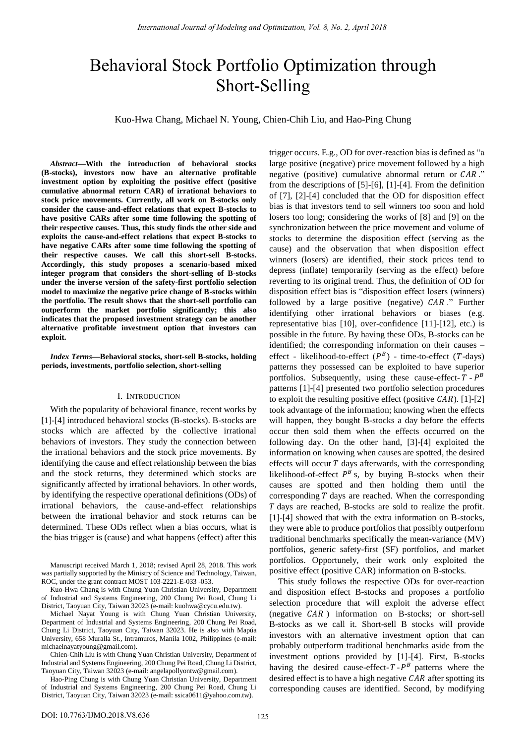# Behavioral Stock Portfolio Optimization through Short-Selling

Kuo-Hwa Chang, Michael N. Young, Chien-Chih Liu, and Hao-Ping Chung

*Abstract***—With the introduction of behavioral stocks (B-stocks), investors now have an alternative profitable investment option by exploiting the positive effect (positive cumulative abnormal return CAR) of irrational behaviors to stock price movements. Currently, all work on B-stocks only consider the cause-and-effect relations that expect B-stocks to have positive CARs after some time following the spotting of their respective causes. Thus, this study finds the other side and exploits the cause-and-effect relations that expect B-stocks to have negative CARs after some time following the spotting of their respective causes. We call this short-sell B-stocks. Accordingly, this study proposes a scenario-based mixed integer program that considers the short-selling of B-stocks under the inverse version of the safety-first portfolio selection model to maximize the negative price change of B-stocks within the portfolio. The result shows that the short-sell portfolio can outperform the market portfolio significantly; this also indicates that the proposed investment strategy can be another alternative profitable investment option that investors can exploit.** 

*Index Terms***—Behavioral stocks, short-sell B-stocks, holding periods, investments, portfolio selection, short-selling** 

#### I. INTRODUCTION

With the popularity of behavioral finance, recent works by [1]-[4] introduced behavioral stocks (B-stocks). B-stocks are stocks which are affected by the collective irrational behaviors of investors. They study the connection between the irrational behaviors and the stock price movements. By identifying the cause and effect relationship between the bias and the stock returns, they determined which stocks are significantly affected by irrational behaviors. In other words, by identifying the respective operational definitions (ODs) of irrational behaviors, the cause-and-effect relationships between the irrational behavior and stock returns can be determined. These ODs reflect when a bias occurs, what is the bias trigger is (cause) and what happens (effect) after this

Manuscript received March 1, 2018; revised April 28, 2018. This work was partially supported by the Ministry of Science and Technology, Taiwan, ROC, under the grant contract MOST 103-2221-E-033 -053.

Kuo-Hwa Chang is with Chung Yuan Christian University, Department of Industrial and Systems Engineering, 200 Chung Pei Road, Chung Li District, Taoyuan City, Taiwan 32023 (e-mail: kuohwa@cycu.edu.tw).

Michael Nayat Young is with Chung Yuan Christian University, Department of Industrial and Systems Engineering, 200 Chung Pei Road, Chung Li District, Taoyuan City, Taiwan 32023. He is also with Mapúa University, 658 Muralla St., Intramuros, Manila 1002, Philippines (e-mail: michaelnayatyoung@gmail.com).

Chien-Chih Liu is with Chung Yuan Christian University, Department of Industrial and Systems Engineering, 200 Chung Pei Road, Chung Li District, Taoyuan City, Taiwan 32023 (e-mail: angelapollyontw@gmail.com).

Hao-Ping Chung is with Chung Yuan Christian University, Department of Industrial and Systems Engineering, 200 Chung Pei Road, Chung Li District, Taoyuan City, Taiwan 32023 (e-mail: ssica0611@yahoo.com.tw).

trigger occurs. E.g., OD for over-reaction bias is defined as "a large positive (negative) price movement followed by a high negative (positive) cumulative abnormal return or  $CAR$ ." from the descriptions of [5]-[6], [1]-[4]. From the definition of [7], [2]-[4] concluded that the OD for disposition effect bias is that investors tend to sell winners too soon and hold losers too long; considering the works of [8] and [9] on the synchronization between the price movement and volume of stocks to determine the disposition effect (serving as the cause) and the observation that when disposition effect winners (losers) are identified, their stock prices tend to depress (inflate) temporarily (serving as the effect) before reverting to its original trend. Thus, the definition of OD for disposition effect bias is "disposition effect losers (winners) followed by a large positive (negative)  $CAR$ ." Further identifying other irrational behaviors or biases (e.g. representative bias [10], over-confidence [11]-[12], etc.) is possible in the future. By having these ODs, B-stocks can be identified; the corresponding information on their causes – effect - likelihood-to-effect  $(P^B)$  - time-to-effect  $(T$ -days) patterns they possessed can be exploited to have superior portfolios. Subsequently, using these cause-effect- $T - P^B$ patterns [1]-[4] presented two portfolio selection procedures to exploit the resulting positive effect (positive  $CAR$ ). [1]-[2] took advantage of the information; knowing when the effects will happen, they bought B-stocks a day before the effects occur then sold them when the effects occurred on the following day. On the other hand, [3]-[4] exploited the information on knowing when causes are spotted, the desired effects will occur  $T$  days afterwards, with the corresponding likelihood-of-effect  $P^B$  s, by buying B-stocks when their causes are spotted and then holding them until the corresponding  $T$  days are reached. When the corresponding days are reached, B-stocks are sold to realize the profit. [1]-[4] showed that with the extra information on B-stocks, they were able to produce portfolios that possibly outperform traditional benchmarks specifically the mean-variance (MV) portfolios, generic safety-first (SF) portfolios, and market portfolios. Opportunely, their work only exploited the positive effect (positive CAR) information on B-stocks.

This study follows the respective ODs for over-reaction and disposition effect B-stocks and proposes a portfolio selection procedure that will exploit the adverse effect (negative  $CAR$ ) information on B-stocks; or short-sell B-stocks as we call it. Short-sell B stocks will provide investors with an alternative investment option that can probably outperform traditional benchmarks aside from the investment options provided by [1]-[4]. First, B-stocks having the desired cause-effect- $T - P^B$  patterns where the desired effect is to have a high negative  $CAR$  after spotting its corresponding causes are identified. Second, by modifying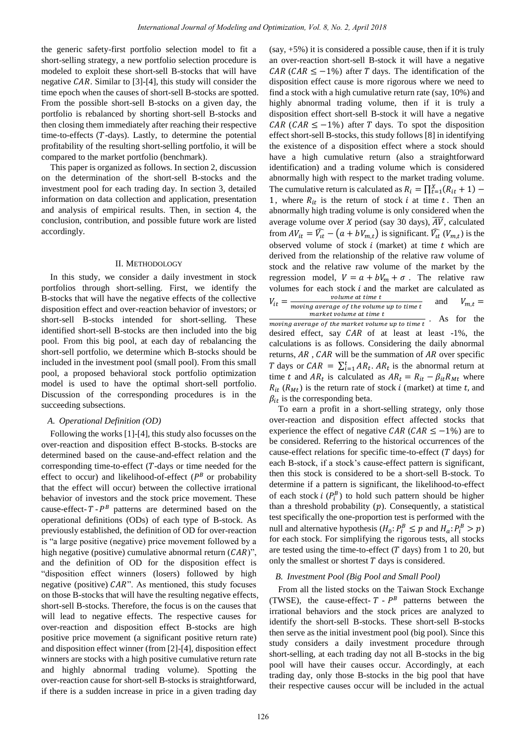the generic safety-first portfolio selection model to fit a short-selling strategy, a new portfolio selection procedure is modeled to exploit these short-sell B-stocks that will have negative  $CAR$ . Similar to [3]-[4], this study will consider the time epoch when the causes of short-sell B-stocks are spotted. From the possible short-sell B-stocks on a given day, the portfolio is rebalanced by shorting short-sell B-stocks and then closing them immediately after reaching their respective time-to-effects  $(T$ -days). Lastly, to determine the potential profitability of the resulting short-selling portfolio, it will be compared to the market portfolio (benchmark).

This paper is organized as follows. In section 2, discussion on the determination of the short-sell B-stocks and the investment pool for each trading day. In section 3, detailed information on data collection and application, presentation and analysis of empirical results. Then, in section 4, the conclusion, contribution, and possible future work are listed accordingly.

#### II. METHODOLOGY

In this study, we consider a daily investment in stock portfolios through short-selling. First, we identify the B-stocks that will have the negative effects of the collective disposition effect and over-reaction behavior of investors; or short-sell B-stocks intended for short-selling. These identified short-sell B-stocks are then included into the big pool. From this big pool, at each day of rebalancing the short-sell portfolio, we determine which B-stocks should be included in the investment pool (small pool). From this small pool, a proposed behavioral stock portfolio optimization model is used to have the optimal short-sell portfolio. Discussion of the corresponding procedures is in the succeeding subsections.

## *A. Operational Definition (OD)*

Following the works [1]-[4], this study also focusses on the over-reaction and disposition effect B-stocks. B-stocks are determined based on the cause-and-effect relation and the corresponding time-to-effect  $(T$ -days or time needed for the effect to occur) and likelihood-of-effect ( $P<sup>B</sup>$  or probability that the effect will occur) between the collective irrational behavior of investors and the stock price movement. These cause-effect- $T - P^B$  patterns are determined based on the operational definitions (ODs) of each type of B-stock. As previously established, the definition of OD for over-reaction is "a large positive (negative) price movement followed by a high negative (positive) cumulative abnormal return  $(CAR)$ ", and the definition of OD for the disposition effect is "disposition effect winners (losers) followed by high negative (positive)  $CAR$ ". As mentioned, this study focuses on those B-stocks that will have the resulting negative effects, short-sell B-stocks. Therefore, the focus is on the causes that will lead to negative effects. The respective causes for over-reaction and disposition effect B-stocks are high positive price movement (a significant positive return rate) and disposition effect winner (from [2]-[4], disposition effect winners are stocks with a high positive cumulative return rate and highly abnormal trading volume). Spotting the over-reaction cause for short-sell B-stocks is straightforward, if there is a sudden increase in price in a given trading day

 $(say, +5\%)$  it is considered a possible cause, then if it is truly an over-reaction short-sell B-stock it will have a negative  $CAR (CAR \leq -1\%)$  after T days. The identification of the disposition effect cause is more rigorous where we need to find a stock with a high cumulative return rate (say, 10%) and highly abnormal trading volume, then if it is truly a disposition effect short-sell B-stock it will have a negative  $CAR (CAR \leq -1\%)$  after T days. To spot the disposition effect short-sell B-stocks, this study follows [8] in identifying the existence of a disposition effect where a stock should have a high cumulative return (also a straightforward identification) and a trading volume which is considered abnormally high with respect to the market trading volume. The cumulative return is calculated as  $R_i = \prod_{t=1}^{X} (R_{it} + 1)$  – 1, where  $R_{it}$  is the return of stock i at time t. Then an abnormally high trading volume is only considered when the average volume over X period (say 30 days),  $\overline{AV}$ , calculated from  $AV_{it} = \widehat{V_{it}} - (a + bV_{m,t})$  is significant.  $\widehat{V_{it}}(V_{m,t})$  is the observed volume of stock  $i$  (market) at time  $t$  which are derived from the relationship of the relative raw volume of stock and the relative raw volume of the market by the regression model,  $V = a + bV_m + \sigma$ . The relative raw volumes for each stock  $i$  and the market are calculated as volume at time t  $V_{it} = \frac{1}{m}$  $V_{m,t} =$  and market volume at time t

 $moving \ \overline{average \ of \ the \ market \ volume \ up \ to \ time \ t}$ . As for the desired effect, say  $CAR$  of at least at least  $-1\%$ , the calculations is as follows. Considering the daily abnormal returns,  $AR$ ,  $CAR$  will be the summation of  $AR$  over specific *T* days or  $CAR = \sum_{i=1}^{t} AR_t$ .  $AR_t$  is the abnormal return at time t and  $AR_t$  is calculated as  $AR_t = R_{it} - \beta_{it} R_{Mt}$  where  $R_{it}$  ( $R_{Mt}$ ) is the return rate of stock i (market) at time t, and  $\beta_{it}$  is the corresponding beta.

To earn a profit in a short-selling strategy, only those over-reaction and disposition effect affected stocks that experience the effect of negative CAR (CAR  $\leq -1\%$ ) are to be considered. Referring to the historical occurrences of the cause-effect relations for specific time-to-effect  $(T \text{ days})$  for each B-stock, if a stock's cause-effect pattern is significant, then this stock is considered to be a short-sell B-stock. To determine if a pattern is significant, the likelihood-to-effect of each stock  $i$  ( $P_i^B$ ) to hold such pattern should be higher than a threshold probability  $(p)$ . Consequently, a statistical test specifically the one-proportion test is performed with the null and alternative hypothesis  $(H_0: P_i^B \leq p$  and  $H_a: P_i^B > p)$ for each stock. For simplifying the rigorous tests, all stocks are tested using the time-to-effect ( $T$  days) from 1 to 20, but only the smallest or shortest  $T$  days is considered.

## *B. Investment Pool (Big Pool and Small Pool)*

From all the listed stocks on the Taiwan Stock Exchange (TWSE), the cause-effect-  $T - P^B$  patterns between the irrational behaviors and the stock prices are analyzed to identify the short-sell B-stocks. These short-sell B-stocks then serve as the initial investment pool (big pool). Since this study considers a daily investment procedure through short-selling, at each trading day not all B-stocks in the big pool will have their causes occur. Accordingly, at each trading day, only those B-stocks in the big pool that have their respective causes occur will be included in the actual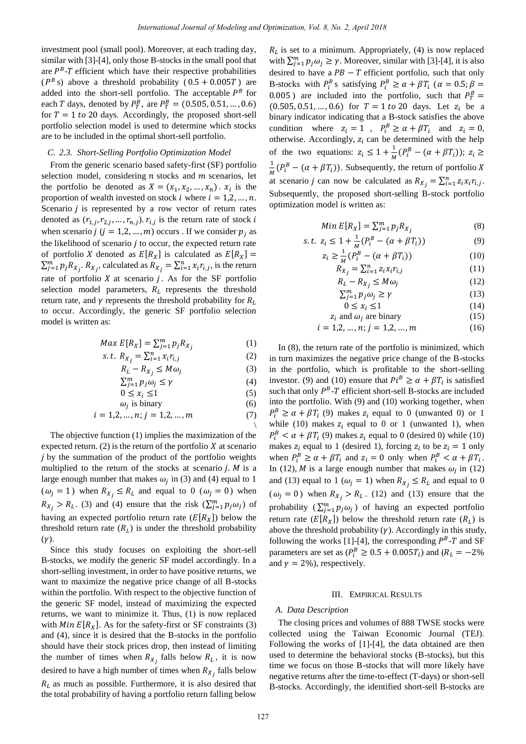investment pool (small pool). Moreover, at each trading day, similar with [3]-[4], only those B-stocks in the small pool that are  $P<sup>B</sup>$ -T efficient which have their respective probabilities  $(P<sup>B</sup> s)$  above a threshold probability  $(0.5 + 0.005T)$  are added into the short-sell portfolio. The acceptable  $P^B$  for each T days, denoted by  $P_T^B$ , are  $P_T^B = (0.505, 0.51, ..., 0.6)$ for  $T = 1$  to 20 days. Accordingly, the proposed short-sell portfolio selection model is used to determine which stocks are to be included in the optimal short-sell portfolio.

## *C. 2.3. Short-Selling Portfolio Optimization Model*

From the generic scenario based safety-first (SF) portfolio selection model, considering  $n$  stocks and  $m$  scenarios, let the portfolio be denoted as  $X = (x_1, x_2, ..., x_n)$ .  $x_i$  is the proportion of wealth invested on stock *i* where  $i = 1, 2, ..., n$ . Scenario  $j$  is represented by a row vector of return rates denoted as  $(r_{1,j}, r_{2,j}, ..., r_{n,j})$ .  $r_{i,j}$  is the return rate of stock i when scenario  $j$  ( $j = 1, 2, ..., m$ ) occurs. If we consider  $p_j$  as the likelihood of scenario  $j$  to occur, the expected return rate of portfolio X denoted as  $E[R_x]$  is calculated as  $E[R_x] =$  $\sum_{j=1}^{m} p_j R_{X_j}$ ,  $R_{X_j}$ , calculated as  $R_{X_j} = \sum_{i=1}^{n} x_i r_{i,j}$ , is the return rate of portfolio  $X$  at scenario  $j$ . As for the SF portfolio selection model parameters,  $R_L$  represents the threshold return rate, and  $\gamma$  represents the threshold probability for  $R_L$ to occur. Accordingly, the generic SF portfolio selection model is written as:

$$
Max E[R_X] = \sum_{j=1}^{m} p_j R_{X_j}
$$
 (1)

s.t. 
$$
R_{X_j} = \sum_{i=1}^{n} x_i r_{i,j}
$$
 (2)

$$
R_L - R_{X_i} \le M\omega_j \tag{3}
$$

$$
\sum_{j=1}^{m} p_j \omega_j \le \gamma \tag{4}
$$

$$
0 \le x_i \le 1 \tag{5}
$$

$$
\omega_j \text{ is binary} \tag{6}
$$

$$
i = 1, 2, ..., n; j = 1, 2, ..., m
$$
 (7)

The objective function (1) implies the maximization of the expected return. (2) is the return of the portfolio  $X$  at scenario  $j$  by the summation of the product of the portfolio weights multiplied to the return of the stocks at scenario  $j$ .  $M$  is a large enough number that makes  $\omega_i$  in (3) and (4) equal to 1  $(\omega_i = 1)$  when  $R_{X_i} \le R_l$  and equal to 0  $(\omega_i = 0)$  when  $R_{X_i} > R_L$ . (3) and (4) ensure that the risk  $(\sum_{j=1}^m p_j \omega_j)$  of having an expected portfolio return rate  $(E[R_X])$  below the threshold return rate  $(R<sub>L</sub>)$  is under the threshold probability  $(\gamma)$ .

Since this study focuses on exploiting the short-sell B-stocks, we modify the generic SF model accordingly. In a short-selling investment, in order to have positive returns, we want to maximize the negative price change of all B-stocks within the portfolio. With respect to the objective function of the generic SF model, instead of maximizing the expected returns, we want to minimize it. Thus, (1) is now replaced with  $Min E[R_X]$ . As for the safety-first or SF constraints (3) and (4), since it is desired that the B-stocks in the portfolio should have their stock prices drop, then instead of limiting the number of times when  $R_{x_i}$  falls below  $R_{t_i}$ , it is now desired to have a high number of times when  $R_{X_i}$  falls below  $R<sub>L</sub>$  as much as possible. Furthermore, it is also desired that the total probability of having a portfolio return falling below

 $R<sub>L</sub>$  is set to a minimum. Appropriately, (4) is now replaced with  $\sum_{j=1}^{m} p_j \omega_j \ge \gamma$ . Moreover, similar with [3]-[4], it is also desired to have a  $PB - T$  efficient portfolio, such that only B-stocks with  $P_i^B$  s satisfying  $P_i^B \ge \alpha + \beta T_i$  ( $\alpha$ 0.005) are included into the portfolio, such that  $P_T^B$  $(0.505, 0.51, ..., 0.6)$  for  $T = 1$  to 20 days. Let  $z_i$  be a binary indicator indicating that a B-stock satisfies the above condition where  $z_i = 1$ ,  $P_i^B \ge \alpha + \beta T_i$  and otherwise. Accordingly,  $z_i$  can be determined with the help of the two equations:  $z_i \leq 1 + \frac{1}{M} (P_i^B - (\alpha + \beta T_i))$ ;  $\mathbf{1}$  $\frac{1}{M}(P_i^B - (\alpha + \beta T_i))$ . Subsequently, the return of portfolio at scenario *j* can now be calculated as  $R_{X_i} = \sum_{i=1}^n z_i x_i r_{i,j}$ . Subsequently, the proposed short-selling B-stock portfolio optimization model is written as:

$$
Min E[R_X] = \sum_{j=1}^{m} p_j R_{X_j}
$$
 (8)

s.t. 
$$
z_i \le 1 + \frac{1}{M} (P_i^B - (\alpha + \beta T_i))
$$
 (9)

$$
z_i \ge \frac{1}{M} (P_i^B - (\alpha + \beta T_i))
$$
\n
$$
P = \sum_{i=1}^{n} \gamma_i \gamma_i
$$
\n(10)

$$
R_{X_j} = \sum_{i=1}^n z_i x_i r_{i,j}
$$
  
\n
$$
R_L - R_{X_i} \le M \omega_i
$$
 (11)

$$
\sum_{j=1}^{m} p_j \omega_j \ge \gamma \tag{13}
$$

$$
0 \le x_i \le 1 \tag{14}
$$

$$
z_i \text{ and } \omega_i \text{ are binary} \tag{15}
$$

$$
i = 1, 2, \dots, n; j = 1, 2, \dots, m \tag{16}
$$

In (8), the return rate of the portfolio is minimized, which in turn maximizes the negative price change of the B-stocks in the portfolio, which is profitable to the short-selling investor. (9) and (10) ensure that  $Pi^B \ge \alpha + \beta T_i$  is satisfied such that only  $P^{B}$ -T efficient short-sell B-stocks are included into the portfolio. With (9) and (10) working together, when  $P_i^B \ge \alpha + \beta T_i$  (9) makes  $z_i$  equal to 0 (unwanted 0) or 1 while (10) makes  $z_i$  equal to 0 or 1 (unwanted 1), when  $P_i^B < \alpha + \beta T_i$  (9) makes  $z_i$  equal to 0 (desired 0) while (10) makes  $z_i$  equal to 1 (desired 1), forcing  $z_i$  to be  $z_i = 1$  only when  $P_i^B \ge \alpha + \beta T_i$  and  $z_i = 0$  only when  $P_i^B < \alpha + \beta T_i$ . In (12), *M* is a large enough number that makes  $\omega_i$  in (12) and (13) equal to 1 ( $\omega_i = 1$ ) when  $R_{X_i} \le R_L$  and equal to 0  $(\omega_i = 0)$  when  $R_{X_i} > R_L$ . (12) and (13) ensure that the probability  $(\sum_{j=1}^m p_j \omega_j)$  of having an expected portfolio return rate  $(E[R_X])$  below the threshold return rate  $(R_L)$  is above the threshold probability  $(y)$ . Accordingly in this study, following the works [1]-[4], the corresponding  $P<sup>B</sup>$ -T and SF parameters are set as  $(P_i^B \geq 0.5 + 0.005T_i)$  and  $(R_i^B \geq 0.5 + 0.005T_i)$ and  $\gamma = 2\%$ ), respectively.

# III. EMPIRICAL RESULTS

## *A. Data Description*

The closing prices and volumes of 888 TWSE stocks were collected using the Taiwan Economic Journal (TEJ). Following the works of [1]-[4], the data obtained are then used to determine the behavioral stocks (B-stocks), but this time we focus on those B-stocks that will more likely have negative returns after the time-to-effect (T-days) or short-sell B-stocks. Accordingly, the identified short-sell B-stocks are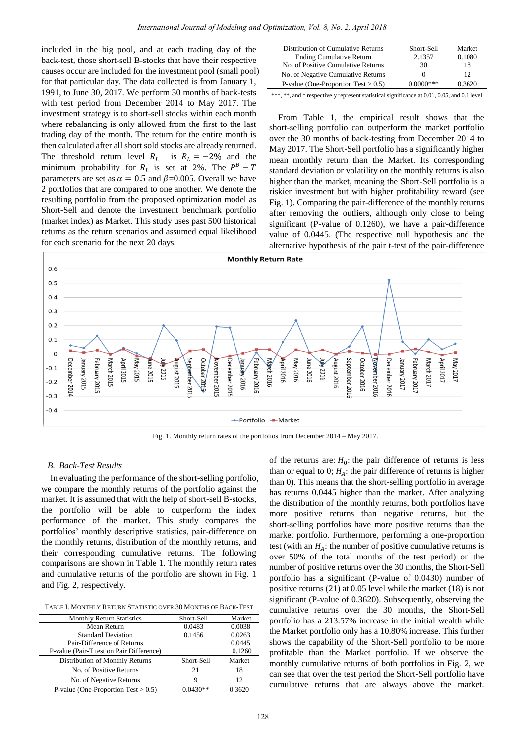included in the big pool, and at each trading day of the back-test, those short-sell B-stocks that have their respective causes occur are included for the investment pool (small pool) for that particular day. The data collected is from January 1, 1991, to June 30, 2017. We perform 30 months of back-tests with test period from December 2014 to May 2017. The investment strategy is to short-sell stocks within each month where rebalancing is only allowed from the first to the last trading day of the month. The return for the entire month is then calculated after all short sold stocks are already returned. The threshold return level  $R_L$  is  $R_L = -2\%$  and the minimum probability for  $R_L$  is set at 2%. The  $P^B$ parameters are set as  $\alpha = 0.5$  and  $\beta = 0.005$ . Overall we have 2 portfolios that are compared to one another. We denote the resulting portfolio from the proposed optimization model as Short-Sell and denote the investment benchmark portfolio (market index) as Market. This study uses past 500 historical returns as the return scenarios and assumed equal likelihood for each scenario for the next 20 days.

| Distribution of Cumulative Returns     | Short-Sell  | Market |
|----------------------------------------|-------------|--------|
| <b>Ending Cumulative Return</b>        | 2.1357      | 0.1080 |
| No. of Positive Cumulative Returns     | 30          | 18     |
| No. of Negative Cumulative Returns     | $^{\circ}$  | 12     |
| P-value (One-Proportion Test $> 0.5$ ) | $0.0000***$ | 0.3620 |

\*\*\*, \*\*, and \* respectively represent statistical significance at 0.01, 0.05, and 0.1 level

From Table 1, the empirical result shows that the short-selling portfolio can outperform the market portfolio over the 30 months of back-testing from December 2014 to May 2017. The Short-Sell portfolio has a significantly higher mean monthly return than the Market. Its corresponding standard deviation or volatility on the monthly returns is also higher than the market, meaning the Short-Sell portfolio is a riskier investment but with higher profitability reward (see Fig. 1). Comparing the pair-difference of the monthly returns after removing the outliers, although only close to being significant (P-value of 0.1260), we have a pair-difference value of 0.0445. (The respective null hypothesis and the alternative hypothesis of the pair t-test of the pair-difference



Fig. 1. Monthly return rates of the portfolios from December 2014 – May 2017.

### *B. Back-Test Results*

In evaluating the performance of the short-selling portfolio, we compare the monthly returns of the portfolio against the market. It is assumed that with the help of short-sell B-stocks, the portfolio will be able to outperform the index performance of the market. This study compares the portfolios' monthly descriptive statistics, pair-difference on the monthly returns, distribution of the monthly returns, and their corresponding cumulative returns. The following comparisons are shown in Table 1. The monthly return rates and cumulative returns of the portfolio are shown in Fig. 1 and Fig. 2, respectively.

| TABLE I. MONTHLY RETURN STATISTIC OVER 30 MONTHS OF BACK-TEST |  |
|---------------------------------------------------------------|--|
|---------------------------------------------------------------|--|

| <b>Monthly Return Statistics</b>         | Short-Sell | Market |
|------------------------------------------|------------|--------|
| Mean Return                              | 0.0483     | 0.0038 |
| <b>Standard Deviation</b>                | 0.1456     | 0.0263 |
| Pair-Difference of Returns               |            | 0.0445 |
| P-value (Pair-T test on Pair Difference) |            | 0.1260 |
| Distribution of Monthly Returns          | Short-Sell | Market |
| No. of Positive Returns                  | 2.1        | 18     |
| No. of Negative Returns                  | 9          | 12     |
| P-value (One-Proportion Test $> 0.5$ )   | $0.0430**$ | 0.3620 |

of the returns are:  $H_0$ : the pair difference of returns is less than or equal to 0;  $H_A$ : the pair difference of returns is higher than 0). This means that the short-selling portfolio in average has returns 0.0445 higher than the market. After analyzing the distribution of the monthly returns, both portfolios have more positive returns than negative returns, but the short-selling portfolios have more positive returns than the market portfolio. Furthermore, performing a one-proportion test (with an  $H_A$ : the number of positive cumulative returns is over 50% of the total months of the test period) on the number of positive returns over the 30 months, the Short-Sell portfolio has a significant (P-value of 0.0430) number of positive returns (21) at 0.05 level while the market (18) is not significant (P-value of 0.3620). Subsequently, observing the cumulative returns over the 30 months, the Short-Sell portfolio has a 213.57% increase in the initial wealth while the Market portfolio only has a 10.80% increase. This further shows the capability of the Short-Sell portfolio to be more profitable than the Market portfolio. If we observe the monthly cumulative returns of both portfolios in Fig. 2, we can see that over the test period the Short-Sell portfolio have cumulative returns that are always above the market.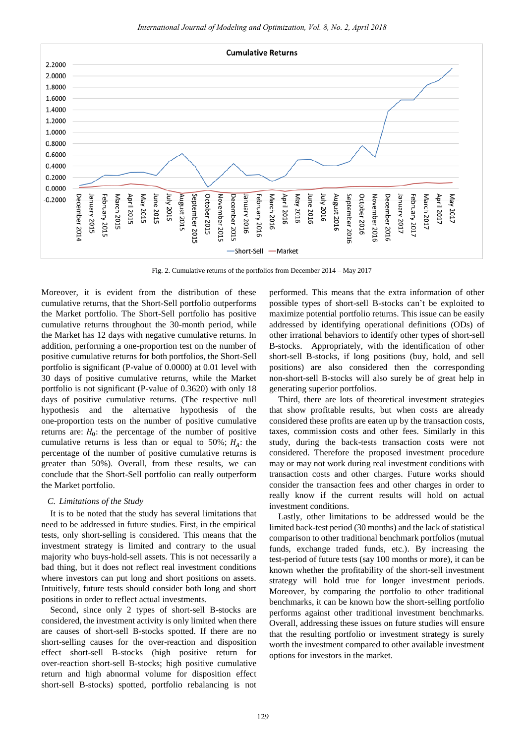

Fig. 2. Cumulative returns of the portfolios from December 2014 – May 2017

Moreover, it is evident from the distribution of these cumulative returns, that the Short-Sell portfolio outperforms the Market portfolio. The Short-Sell portfolio has positive cumulative returns throughout the 30-month period, while the Market has 12 days with negative cumulative returns. In addition, performing a one-proportion test on the number of positive cumulative returns for both portfolios, the Short-Sell portfolio is significant (P-value of 0.0000) at 0.01 level with 30 days of positive cumulative returns, while the Market portfolio is not significant (P-value of 0.3620) with only 18 days of positive cumulative returns. (The respective null hypothesis and the alternative hypothesis of the one-proportion tests on the number of positive cumulative returns are:  $H_0$ : the percentage of the number of positive cumulative returns is less than or equal to 50%;  $H_A$ : the percentage of the number of positive cumulative returns is greater than 50%). Overall, from these results, we can conclude that the Short-Sell portfolio can really outperform the Market portfolio.

## *C. Limitations of the Study*

It is to be noted that the study has several limitations that need to be addressed in future studies. First, in the empirical tests, only short-selling is considered. This means that the investment strategy is limited and contrary to the usual majority who buys-hold-sell assets. This is not necessarily a bad thing, but it does not reflect real investment conditions where investors can put long and short positions on assets. Intuitively, future tests should consider both long and short positions in order to reflect actual investments.

Second, since only 2 types of short-sell B-stocks are considered, the investment activity is only limited when there are causes of short-sell B-stocks spotted. If there are no short-selling causes for the over-reaction and disposition effect short-sell B-stocks (high positive return for over-reaction short-sell B-stocks; high positive cumulative return and high abnormal volume for disposition effect short-sell B-stocks) spotted, portfolio rebalancing is not

performed. This means that the extra information of other possible types of short-sell B-stocks can't be exploited to maximize potential portfolio returns. This issue can be easily addressed by identifying operational definitions (ODs) of other irrational behaviors to identify other types of short-sell B-stocks. Appropriately, with the identification of other short-sell B-stocks, if long positions (buy, hold, and sell positions) are also considered then the corresponding non-short-sell B-stocks will also surely be of great help in generating superior portfolios.

Third, there are lots of theoretical investment strategies that show profitable results, but when costs are already considered these profits are eaten up by the transaction costs, taxes, commission costs and other fees. Similarly in this study, during the back-tests transaction costs were not considered. Therefore the proposed investment procedure may or may not work during real investment conditions with transaction costs and other charges. Future works should consider the transaction fees and other charges in order to really know if the current results will hold on actual investment conditions.

Lastly, other limitations to be addressed would be the limited back-test period (30 months) and the lack of statistical comparison to other traditional benchmark portfolios (mutual funds, exchange traded funds, etc.). By increasing the test-period of future tests (say 100 months or more), it can be known whether the profitability of the short-sell investment strategy will hold true for longer investment periods. Moreover, by comparing the portfolio to other traditional benchmarks, it can be known how the short-selling portfolio performs against other traditional investment benchmarks. Overall, addressing these issues on future studies will ensure that the resulting portfolio or investment strategy is surely worth the investment compared to other available investment options for investors in the market.